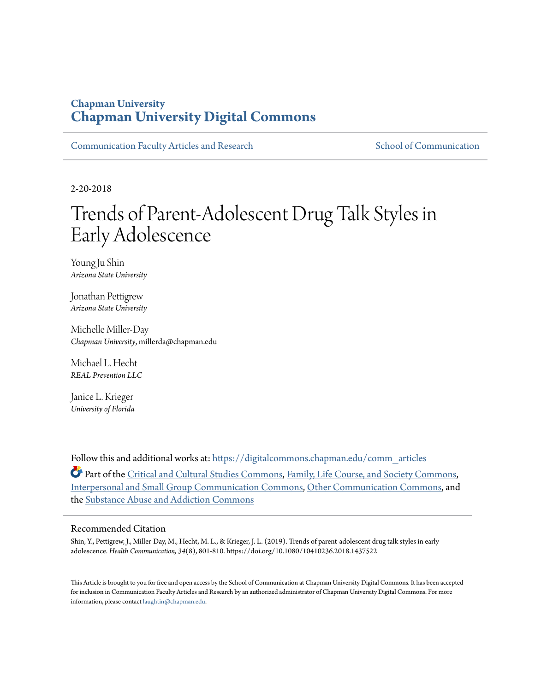## **Chapman University [Chapman University Digital Commons](https://digitalcommons.chapman.edu?utm_source=digitalcommons.chapman.edu%2Fcomm_articles%2F63&utm_medium=PDF&utm_campaign=PDFCoverPages)**

[Communication Faculty Articles and Research](https://digitalcommons.chapman.edu/comm_articles?utm_source=digitalcommons.chapman.edu%2Fcomm_articles%2F63&utm_medium=PDF&utm_campaign=PDFCoverPages) [School of Communication](https://digitalcommons.chapman.edu/communication?utm_source=digitalcommons.chapman.edu%2Fcomm_articles%2F63&utm_medium=PDF&utm_campaign=PDFCoverPages)

2-20-2018

# Trends of Parent-Adolescent Drug Talk Styles in Early Adolescence

Young Ju Shin *Arizona State University*

Jonathan Pettigrew *Arizona State University*

Michelle Miller-Day *Chapman University*, millerda@chapman.edu

Michael L. Hecht *REAL Prevention LLC*

Janice L. Krieger *University of Florida*

Follow this and additional works at: [https://digitalcommons.chapman.edu/comm\\_articles](https://digitalcommons.chapman.edu/comm_articles?utm_source=digitalcommons.chapman.edu%2Fcomm_articles%2F63&utm_medium=PDF&utm_campaign=PDFCoverPages)

Part of the [Critical and Cultural Studies Commons](http://network.bepress.com/hgg/discipline/328?utm_source=digitalcommons.chapman.edu%2Fcomm_articles%2F63&utm_medium=PDF&utm_campaign=PDFCoverPages), [Family, Life Course, and Society Commons,](http://network.bepress.com/hgg/discipline/419?utm_source=digitalcommons.chapman.edu%2Fcomm_articles%2F63&utm_medium=PDF&utm_campaign=PDFCoverPages) [Interpersonal and Small Group Communication Commons,](http://network.bepress.com/hgg/discipline/332?utm_source=digitalcommons.chapman.edu%2Fcomm_articles%2F63&utm_medium=PDF&utm_campaign=PDFCoverPages) [Other Communication Commons,](http://network.bepress.com/hgg/discipline/339?utm_source=digitalcommons.chapman.edu%2Fcomm_articles%2F63&utm_medium=PDF&utm_campaign=PDFCoverPages) and the [Substance Abuse and Addiction Commons](http://network.bepress.com/hgg/discipline/710?utm_source=digitalcommons.chapman.edu%2Fcomm_articles%2F63&utm_medium=PDF&utm_campaign=PDFCoverPages)

## Recommended Citation

Shin, Y., Pettigrew, J., Miller-Day, M., Hecht, M. L., & Krieger, J. L. (2019). Trends of parent-adolescent drug talk styles in early adolescence. *Health Communication, 34*(8), 801-810. https://doi.org/10.1080/10410236.2018.1437522

This Article is brought to you for free and open access by the School of Communication at Chapman University Digital Commons. It has been accepted for inclusion in Communication Faculty Articles and Research by an authorized administrator of Chapman University Digital Commons. For more information, please contact [laughtin@chapman.edu](mailto:laughtin@chapman.edu).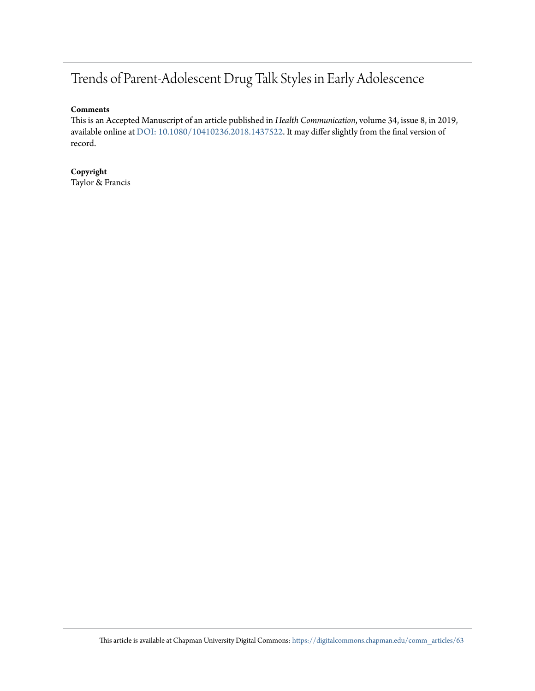## Trends of Parent-Adolescent Drug Talk Styles in Early Adolescence

### **Comments**

This is an Accepted Manuscript of an article published in *Health Communication*, volume 34, issue 8, in 2019, available online at [DOI: 10.1080/10410236.2018.1437522.](https://doi.org/10.1080/10410236.2018.1437522) It may differ slightly from the final version of record.

**Copyright** Taylor & Francis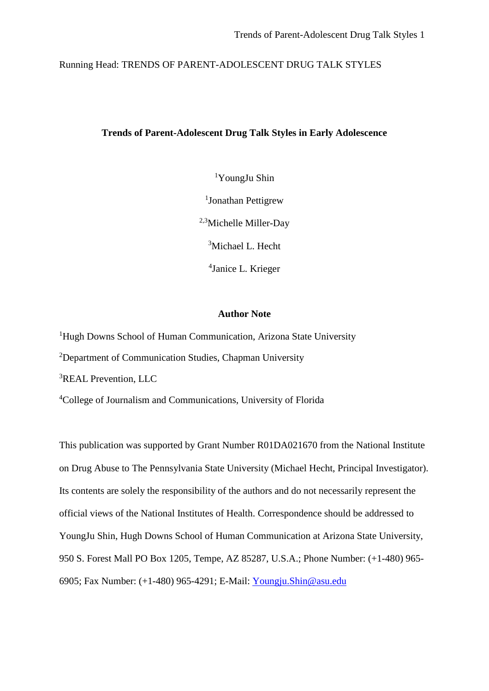Running Head: TRENDS OF PARENT-ADOLESCENT DRUG TALK STYLES

## **Trends of Parent-Adolescent Drug Talk Styles in Early Adolescence**

1 YoungJu Shin <sup>1</sup>Jonathan Pettigrew 2,3Michelle Miller-Day <sup>3</sup>Michael L. Hecht 4 Janice L. Krieger

## **Author Note**

<sup>1</sup>Hugh Downs School of Human Communication, Arizona State University

<sup>2</sup>Department of Communication Studies, Chapman University

3 REAL Prevention, LLC

4 College of Journalism and Communications, University of Florida

This publication was supported by Grant Number R01DA021670 from the National Institute on Drug Abuse to The Pennsylvania State University (Michael Hecht, Principal Investigator). Its contents are solely the responsibility of the authors and do not necessarily represent the official views of the National Institutes of Health. Correspondence should be addressed to YoungJu Shin, Hugh Downs School of Human Communication at Arizona State University, 950 S. Forest Mall PO Box 1205, Tempe, AZ 85287, U.S.A.; Phone Number: (+1-480) 965- 6905; Fax Number: (+1-480) 965-4291; E-Mail: [Youngju.Shin@asu.edu](mailto:Youngju.Shin@asu.edu)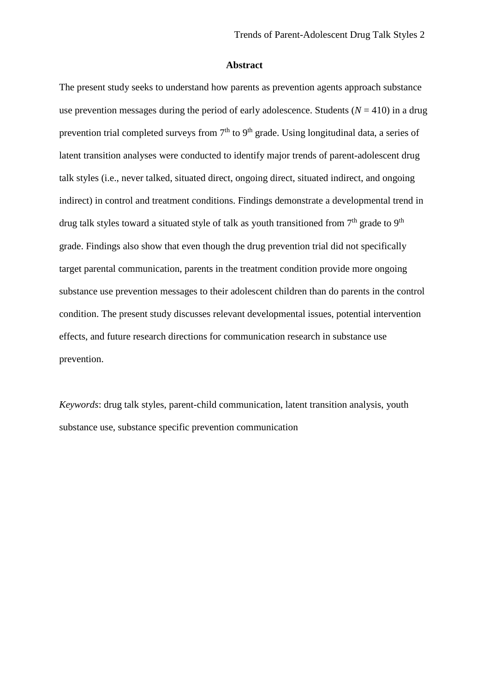### **Abstract**

The present study seeks to understand how parents as prevention agents approach substance use prevention messages during the period of early adolescence. Students  $(N = 410)$  in a drug prevention trial completed surveys from  $7<sup>th</sup>$  to  $9<sup>th</sup>$  grade. Using longitudinal data, a series of latent transition analyses were conducted to identify major trends of parent-adolescent drug talk styles (i.e., never talked, situated direct, ongoing direct, situated indirect, and ongoing indirect) in control and treatment conditions. Findings demonstrate a developmental trend in drug talk styles toward a situated style of talk as youth transitioned from  $7<sup>th</sup>$  grade to  $9<sup>th</sup>$ grade. Findings also show that even though the drug prevention trial did not specifically target parental communication, parents in the treatment condition provide more ongoing substance use prevention messages to their adolescent children than do parents in the control condition. The present study discusses relevant developmental issues, potential intervention effects, and future research directions for communication research in substance use prevention.

*Keywords*: drug talk styles, parent-child communication, latent transition analysis, youth substance use, substance specific prevention communication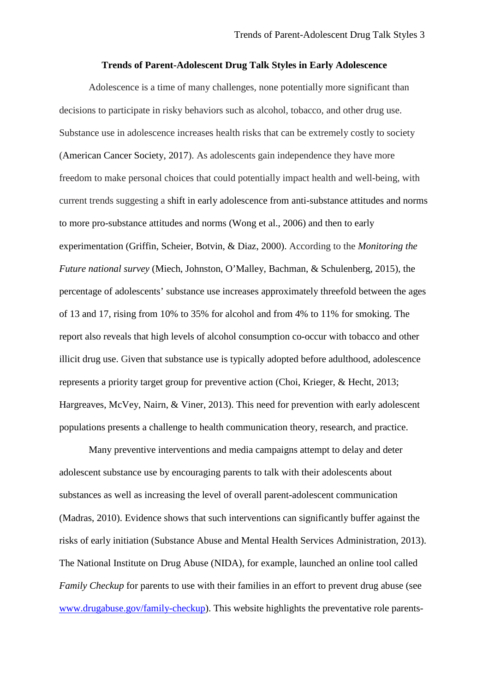## **Trends of Parent-Adolescent Drug Talk Styles in Early Adolescence**

Adolescence is a time of many challenges, none potentially more significant than decisions to participate in risky behaviors such as alcohol, tobacco, and other drug use. Substance use in adolescence increases health risks that can be extremely costly to society (American Cancer Society, 2017). As adolescents gain independence they have more freedom to make personal choices that could potentially impact health and well-being, with current trends suggesting a shift in early adolescence from anti-substance attitudes and norms to more pro-substance attitudes and norms (Wong et al., 2006) and then to early experimentation (Griffin, Scheier, Botvin, & Diaz, 2000). According to the *Monitoring the Future national survey* (Miech, Johnston, O'Malley, Bachman, & Schulenberg, 2015), the percentage of adolescents' substance use increases approximately threefold between the ages of 13 and 17, rising from 10% to 35% for alcohol and from 4% to 11% for smoking. The report also reveals that high levels of alcohol consumption co-occur with tobacco and other illicit drug use. Given that substance use is typically adopted before adulthood, adolescence represents a priority target group for preventive action (Choi, Krieger, & Hecht, 2013; Hargreaves, McVey, Nairn, & Viner, 2013). This need for prevention with early adolescent populations presents a challenge to health communication theory, research, and practice.

Many preventive interventions and media campaigns attempt to delay and deter adolescent substance use by encouraging parents to talk with their adolescents about substances as well as increasing the level of overall parent-adolescent communication (Madras, 2010). Evidence shows that such interventions can significantly buffer against the risks of early initiation (Substance Abuse and Mental Health Services Administration, 2013). The National Institute on Drug Abuse (NIDA), for example, launched an online tool called *Family Checkup* for parents to use with their families in an effort to prevent drug abuse (see [www.drugabuse.gov/family-checkup\)](http://www.drugabuse.gov/family-checkup). This website highlights the preventative role parents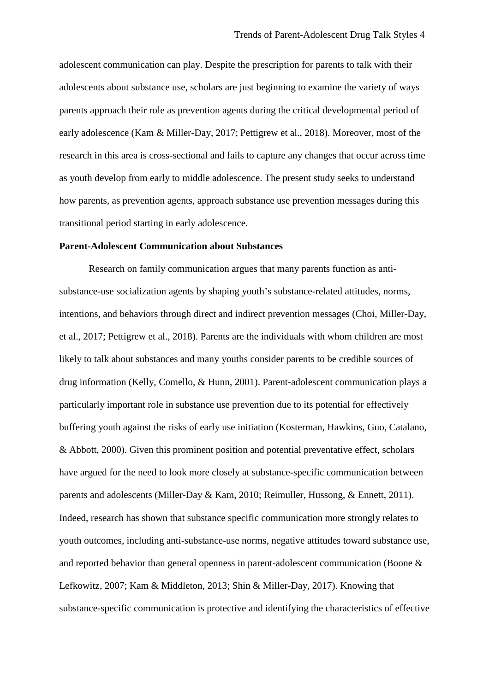adolescent communication can play. Despite the prescription for parents to talk with their adolescents about substance use, scholars are just beginning to examine the variety of ways parents approach their role as prevention agents during the critical developmental period of early adolescence (Kam & Miller-Day, 2017; Pettigrew et al., 2018). Moreover, most of the research in this area is cross-sectional and fails to capture any changes that occur across time as youth develop from early to middle adolescence. The present study seeks to understand how parents, as prevention agents, approach substance use prevention messages during this transitional period starting in early adolescence.

## **Parent-Adolescent Communication about Substances**

Research on family communication argues that many parents function as antisubstance-use socialization agents by shaping youth's substance-related attitudes, norms, intentions, and behaviors through direct and indirect prevention messages (Choi, Miller-Day, et al., 2017; Pettigrew et al., 2018). Parents are the individuals with whom children are most likely to talk about substances and many youths consider parents to be credible sources of drug information (Kelly, Comello, & Hunn, 2001). Parent-adolescent communication plays a particularly important role in substance use prevention due to its potential for effectively buffering youth against the risks of early use initiation (Kosterman, Hawkins, Guo, Catalano, & Abbott, 2000). Given this prominent position and potential preventative effect, scholars have argued for the need to look more closely at substance-specific communication between parents and adolescents (Miller-Day & Kam, 2010; Reimuller, Hussong, & Ennett, 2011). Indeed, research has shown that substance specific communication more strongly relates to youth outcomes, including anti-substance-use norms, negative attitudes toward substance use, and reported behavior than general openness in parent-adolescent communication (Boone & Lefkowitz, 2007; Kam & Middleton, 2013; Shin & Miller-Day, 2017). Knowing that substance-specific communication is protective and identifying the characteristics of effective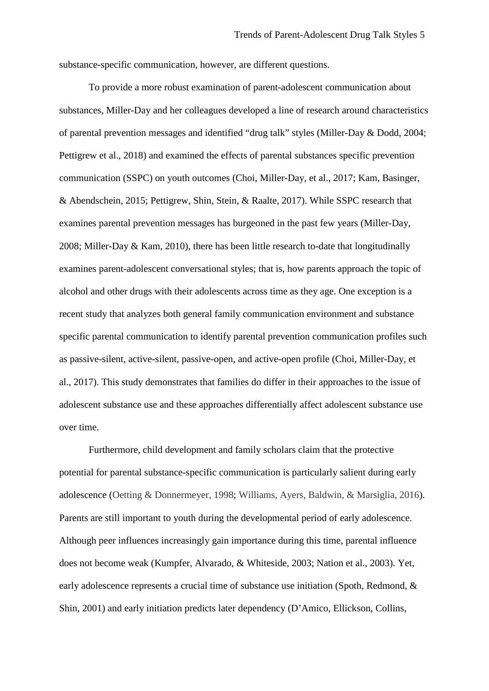substance-specific communication, however, are different questions.

To provide a more robust examination of parent-adolescent communication about substances, Miller-Day and her colleagues developed a line of research around characteristics of parental prevention messages and identified "drug talk" styles (Miller-Day & Dodd, 2004; Pettigrew et al., 2018) and examined the effects of parental substances specific prevention communication (SSPC) on youth outcomes (Choi, Miller-Day, et al., 2017; Kam, Basinger, & Abendschein, 2015; Pettigrew, Shin, Stein, & Raalte, 2017). While SSPC research that examines parental prevention messages has burgeoned in the past few years (Miller-Day, 2008; Miller-Day & Kam, 2010), there has been little research to-date that longitudinally examines parent-adolescent conversational styles; that is, how parents approach the topic of alcohol and other drugs with their adolescents across time as they age. One exception is a recent study that analyzes both general family communication environment and substance specific parental communication to identify parental prevention communication profiles such as passive-silent, active-silent, passive-open, and active-open profile (Choi, Miller-Day, et al., 2017). This study demonstrates that families do differ in their approaches to the issue of adolescent substance use and these approaches differentially affect adolescent substance use over time.

Furthermore, child development and family scholars claim that the protective potential for parental substance-specific communication is particularly salient during early adolescence (Oetting & Donnermeyer, 1998; Williams, Ayers, Baldwin, & Marsiglia, 2016). Parents are still important to youth during the developmental period of early adolescence. Although peer influences increasingly gain importance during this time, parental influence does not become weak (Kumpfer, Alvarado, & Whiteside, 2003; Nation et al., 2003). Yet, early adolescence represents a crucial time of substance use initiation (Spoth, Redmond, & Shin, 2001) and early initiation predicts later dependency (D'Amico, Ellickson, Collins,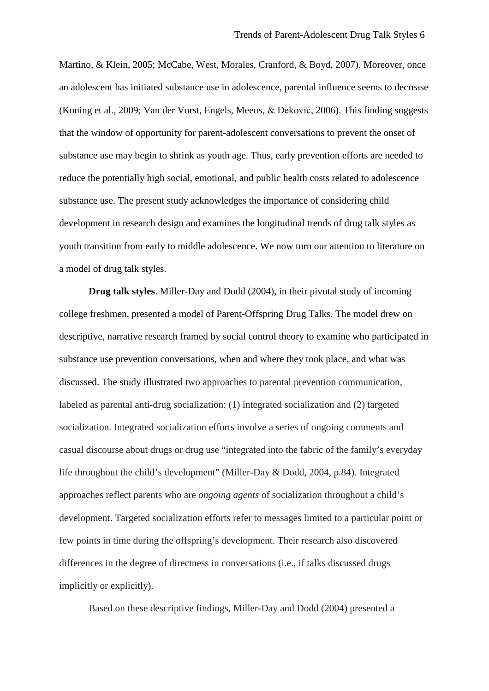Martino, & Klein, 2005; McCabe, West, Morales, Cranford, & Boyd, 2007). Moreover, once an adolescent has initiated substance use in adolescence, parental influence seems to decrease (Koning et al., 2009; Van der Vorst, Engels, Meeus, & Deković, 2006). This finding suggests that the window of opportunity for parent-adolescent conversations to prevent the onset of substance use may begin to shrink as youth age. Thus, early prevention efforts are needed to reduce the potentially high social, emotional, and public health costs related to adolescence substance use. The present study acknowledges the importance of considering child development in research design and examines the longitudinal trends of drug talk styles as youth transition from early to middle adolescence. We now turn our attention to literature on a model of drug talk styles.

**Drug talk styles**. Miller-Day and Dodd (2004), in their pivotal study of incoming college freshmen, presented a model of Parent-Offspring Drug Talks. The model drew on descriptive, narrative research framed by social control theory to examine who participated in substance use prevention conversations, when and where they took place, and what was discussed. The study illustrated two approaches to parental prevention communication, labeled as parental anti-drug socialization: (1) integrated socialization and (2) targeted socialization. Integrated socialization efforts involve a series of ongoing comments and casual discourse about drugs or drug use "integrated into the fabric of the family's everyday life throughout the child's development" (Miller-Day & Dodd, 2004, p.84). Integrated approaches reflect parents who are *ongoing agents* of socialization throughout a child's development. Targeted socialization efforts refer to messages limited to a particular point or few points in time during the offspring's development. Their research also discovered differences in the degree of directness in conversations (i.e., if talks discussed drugs implicitly or explicitly).

Based on these descriptive findings, Miller-Day and Dodd (2004) presented a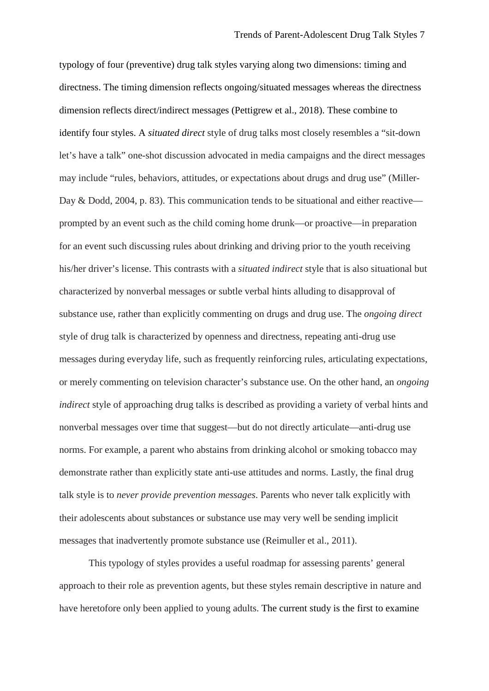typology of four (preventive) drug talk styles varying along two dimensions: timing and directness. The timing dimension reflects ongoing/situated messages whereas the directness dimension reflects direct/indirect messages (Pettigrew et al., 2018). These combine to identify four styles. A *situated direct* style of drug talks most closely resembles a "sit-down let's have a talk" one-shot discussion advocated in media campaigns and the direct messages may include "rules, behaviors, attitudes, or expectations about drugs and drug use" (Miller-Day & Dodd, 2004, p. 83). This communication tends to be situational and either reactive prompted by an event such as the child coming home drunk—or proactive—in preparation for an event such discussing rules about drinking and driving prior to the youth receiving his/her driver's license. This contrasts with a *situated indirect* style that is also situational but characterized by nonverbal messages or subtle verbal hints alluding to disapproval of substance use, rather than explicitly commenting on drugs and drug use. The *ongoing direct* style of drug talk is characterized by openness and directness, repeating anti-drug use messages during everyday life, such as frequently reinforcing rules, articulating expectations, or merely commenting on television character's substance use. On the other hand, an *ongoing indirect* style of approaching drug talks is described as providing a variety of verbal hints and nonverbal messages over time that suggest—but do not directly articulate—anti-drug use norms. For example, a parent who abstains from drinking alcohol or smoking tobacco may demonstrate rather than explicitly state anti-use attitudes and norms. Lastly, the final drug talk style is to *never provide prevention messages*. Parents who never talk explicitly with their adolescents about substances or substance use may very well be sending implicit messages that inadvertently promote substance use (Reimuller et al., 2011).

This typology of styles provides a useful roadmap for assessing parents' general approach to their role as prevention agents, but these styles remain descriptive in nature and have heretofore only been applied to young adults. The current study is the first to examine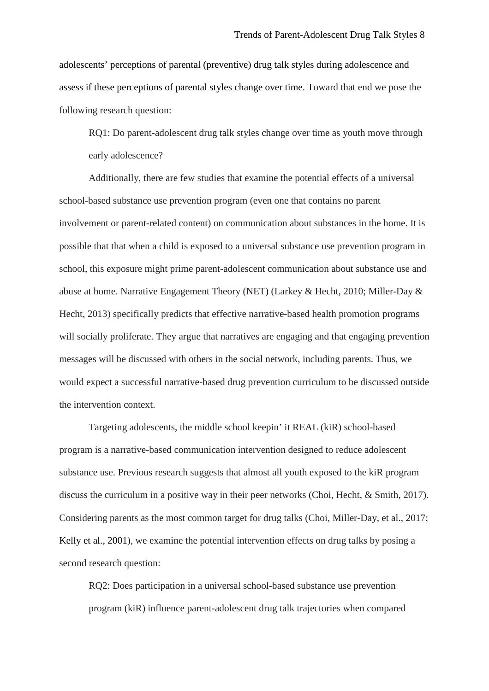adolescents' perceptions of parental (preventive) drug talk styles during adolescence and assess if these perceptions of parental styles change over time. Toward that end we pose the following research question:

RQ1: Do parent-adolescent drug talk styles change over time as youth move through early adolescence?

Additionally, there are few studies that examine the potential effects of a universal school-based substance use prevention program (even one that contains no parent involvement or parent-related content) on communication about substances in the home. It is possible that that when a child is exposed to a universal substance use prevention program in school, this exposure might prime parent-adolescent communication about substance use and abuse at home. Narrative Engagement Theory (NET) (Larkey & Hecht, 2010; Miller-Day & Hecht, 2013) specifically predicts that effective narrative-based health promotion programs will socially proliferate. They argue that narratives are engaging and that engaging prevention messages will be discussed with others in the social network, including parents. Thus, we would expect a successful narrative-based drug prevention curriculum to be discussed outside the intervention context.

Targeting adolescents, the middle school keepin' it REAL (kiR) school-based program is a narrative-based communication intervention designed to reduce adolescent substance use. Previous research suggests that almost all youth exposed to the kiR program discuss the curriculum in a positive way in their peer networks (Choi, Hecht, & Smith, 2017). Considering parents as the most common target for drug talks (Choi, Miller-Day, et al., 2017; Kelly et al., 2001), we examine the potential intervention effects on drug talks by posing a second research question:

RQ2: Does participation in a universal school-based substance use prevention program (kiR) influence parent-adolescent drug talk trajectories when compared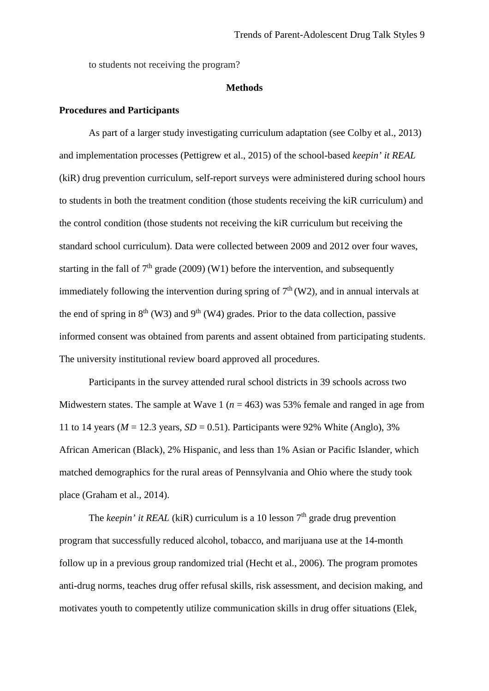to students not receiving the program?

## **Methods**

## **Procedures and Participants**

As part of a larger study investigating curriculum adaptation (see Colby et al., 2013) and implementation processes (Pettigrew et al., 2015) of the school-based *keepin' it REAL* (kiR) drug prevention curriculum, self-report surveys were administered during school hours to students in both the treatment condition (those students receiving the kiR curriculum) and the control condition (those students not receiving the kiR curriculum but receiving the standard school curriculum). Data were collected between 2009 and 2012 over four waves, starting in the fall of  $7<sup>th</sup>$  grade (2009) (W1) before the intervention, and subsequently immediately following the intervention during spring of  $7<sup>th</sup>$  (W2), and in annual intervals at the end of spring in  $8<sup>th</sup>$  (W3) and  $9<sup>th</sup>$  (W4) grades. Prior to the data collection, passive informed consent was obtained from parents and assent obtained from participating students. The university institutional review board approved all procedures.

Participants in the survey attended rural school districts in 39 schools across two Midwestern states. The sample at Wave 1 ( $n = 463$ ) was 53% female and ranged in age from 11 to 14 years ( $M = 12.3$  years,  $SD = 0.51$ ). Participants were 92% White (Anglo), 3% African American (Black), 2% Hispanic, and less than 1% Asian or Pacific Islander, which matched demographics for the rural areas of Pennsylvania and Ohio where the study took place (Graham et al., 2014).

The *keepin' it REAL* (kiR) curriculum is a 10 lesson  $7<sup>th</sup>$  grade drug prevention program that successfully reduced alcohol, tobacco, and marijuana use at the 14-month follow up in a previous group randomized trial (Hecht et al., 2006). The program promotes anti-drug norms, teaches drug offer refusal skills, risk assessment, and decision making, and motivates youth to competently utilize communication skills in drug offer situations (Elek,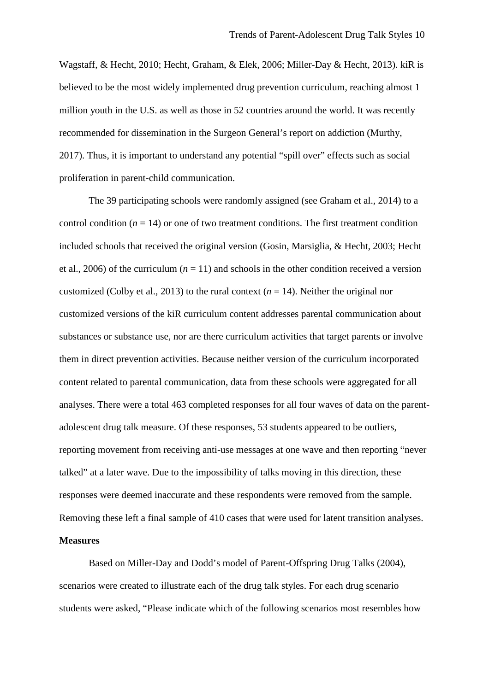Wagstaff, & Hecht, 2010; Hecht, Graham, & Elek, 2006; Miller-Day & Hecht, 2013). kiR is believed to be the most widely implemented drug prevention curriculum, reaching almost 1 million youth in the U.S. as well as those in 52 countries around the world. It was recently recommended for dissemination in the Surgeon General's report on addiction (Murthy, 2017). Thus, it is important to understand any potential "spill over" effects such as social proliferation in parent-child communication.

The 39 participating schools were randomly assigned (see Graham et al., 2014) to a control condition  $(n = 14)$  or one of two treatment conditions. The first treatment condition included schools that received the original version (Gosin, Marsiglia, & Hecht, 2003; Hecht et al., 2006) of the curriculum  $(n = 11)$  and schools in the other condition received a version customized (Colby et al., 2013) to the rural context  $(n = 14)$ . Neither the original nor customized versions of the kiR curriculum content addresses parental communication about substances or substance use, nor are there curriculum activities that target parents or involve them in direct prevention activities. Because neither version of the curriculum incorporated content related to parental communication, data from these schools were aggregated for all analyses. There were a total 463 completed responses for all four waves of data on the parentadolescent drug talk measure. Of these responses, 53 students appeared to be outliers, reporting movement from receiving anti-use messages at one wave and then reporting "never talked" at a later wave. Due to the impossibility of talks moving in this direction, these responses were deemed inaccurate and these respondents were removed from the sample. Removing these left a final sample of 410 cases that were used for latent transition analyses.

## **Measures**

Based on Miller-Day and Dodd's model of Parent-Offspring Drug Talks (2004), scenarios were created to illustrate each of the drug talk styles. For each drug scenario students were asked, "Please indicate which of the following scenarios most resembles how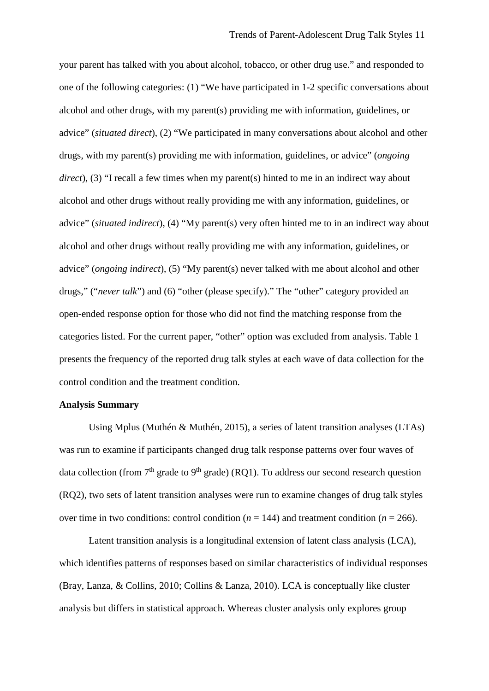your parent has talked with you about alcohol, tobacco, or other drug use." and responded to one of the following categories: (1) "We have participated in 1-2 specific conversations about alcohol and other drugs, with my parent(s) providing me with information, guidelines, or advice" (*situated direct*), (2) "We participated in many conversations about alcohol and other drugs, with my parent(s) providing me with information, guidelines, or advice" (*ongoing direct*), (3) "I recall a few times when my parent(s) hinted to me in an indirect way about alcohol and other drugs without really providing me with any information, guidelines, or advice" (*situated indirect*), (4) "My parent(s) very often hinted me to in an indirect way about alcohol and other drugs without really providing me with any information, guidelines, or advice" (*ongoing indirect*), (5) "My parent(s) never talked with me about alcohol and other drugs," ("*never talk*") and (6) "other (please specify)." The "other" category provided an open-ended response option for those who did not find the matching response from the categories listed. For the current paper, "other" option was excluded from analysis. Table 1 presents the frequency of the reported drug talk styles at each wave of data collection for the control condition and the treatment condition.

## **Analysis Summary**

Using Mplus (Muthén & Muthén, 2015), a series of latent transition analyses (LTAs) was run to examine if participants changed drug talk response patterns over four waves of data collection (from  $7<sup>th</sup>$  grade to  $9<sup>th</sup>$  grade) (RQ1). To address our second research question (RQ2), two sets of latent transition analyses were run to examine changes of drug talk styles over time in two conditions: control condition ( $n = 144$ ) and treatment condition ( $n = 266$ ).

Latent transition analysis is a longitudinal extension of latent class analysis (LCA), which identifies patterns of responses based on similar characteristics of individual responses (Bray, Lanza, & Collins, 2010; Collins & Lanza, 2010). LCA is conceptually like cluster analysis but differs in statistical approach. Whereas cluster analysis only explores group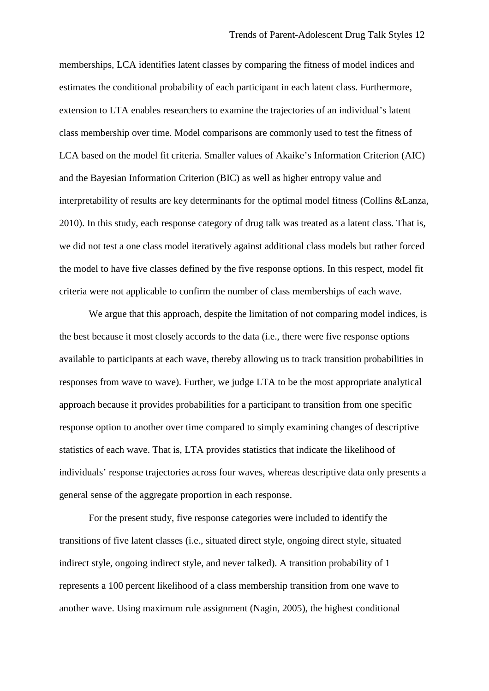memberships, LCA identifies latent classes by comparing the fitness of model indices and estimates the conditional probability of each participant in each latent class. Furthermore, extension to LTA enables researchers to examine the trajectories of an individual's latent class membership over time. Model comparisons are commonly used to test the fitness of LCA based on the model fit criteria. Smaller values of Akaike's Information Criterion (AIC) and the Bayesian Information Criterion (BIC) as well as higher entropy value and interpretability of results are key determinants for the optimal model fitness (Collins &Lanza, 2010). In this study, each response category of drug talk was treated as a latent class. That is, we did not test a one class model iteratively against additional class models but rather forced the model to have five classes defined by the five response options. In this respect, model fit criteria were not applicable to confirm the number of class memberships of each wave.

We argue that this approach, despite the limitation of not comparing model indices, is the best because it most closely accords to the data (i.e., there were five response options available to participants at each wave, thereby allowing us to track transition probabilities in responses from wave to wave). Further, we judge LTA to be the most appropriate analytical approach because it provides probabilities for a participant to transition from one specific response option to another over time compared to simply examining changes of descriptive statistics of each wave. That is, LTA provides statistics that indicate the likelihood of individuals' response trajectories across four waves, whereas descriptive data only presents a general sense of the aggregate proportion in each response.

For the present study, five response categories were included to identify the transitions of five latent classes (i.e., situated direct style, ongoing direct style, situated indirect style, ongoing indirect style, and never talked). A transition probability of 1 represents a 100 percent likelihood of a class membership transition from one wave to another wave. Using maximum rule assignment (Nagin, 2005), the highest conditional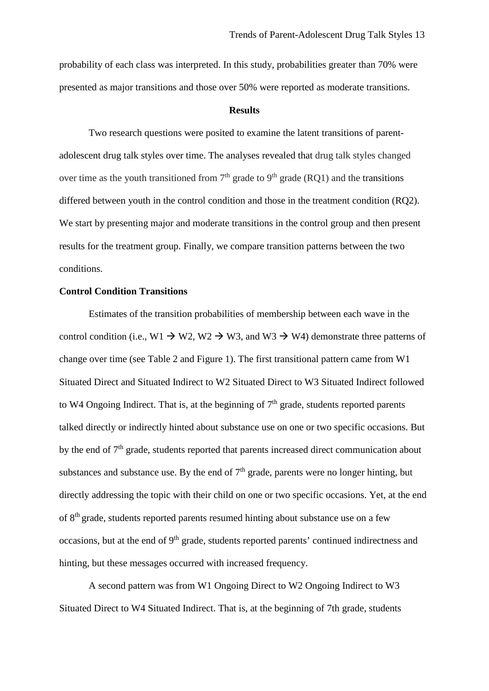probability of each class was interpreted. In this study, probabilities greater than 70% were presented as major transitions and those over 50% were reported as moderate transitions.

#### **Results**

Two research questions were posited to examine the latent transitions of parentadolescent drug talk styles over time. The analyses revealed that drug talk styles changed over time as the youth transitioned from  $7<sup>th</sup>$  grade to  $9<sup>th</sup>$  grade (RQ1) and the transitions differed between youth in the control condition and those in the treatment condition (RQ2). We start by presenting major and moderate transitions in the control group and then present results for the treatment group. Finally, we compare transition patterns between the two conditions.

## **Control Condition Transitions**

Estimates of the transition probabilities of membership between each wave in the control condition (i.e.,  $W1 \rightarrow W2$ ,  $W2 \rightarrow W3$ , and  $W3 \rightarrow W4$ ) demonstrate three patterns of change over time (see Table 2 and Figure 1). The first transitional pattern came from W1 Situated Direct and Situated Indirect to W2 Situated Direct to W3 Situated Indirect followed to W4 Ongoing Indirect. That is, at the beginning of  $7<sup>th</sup>$  grade, students reported parents talked directly or indirectly hinted about substance use on one or two specific occasions. But by the end of 7<sup>th</sup> grade, students reported that parents increased direct communication about substances and substance use. By the end of  $7<sup>th</sup>$  grade, parents were no longer hinting, but directly addressing the topic with their child on one or two specific occasions. Yet, at the end of 8th grade, students reported parents resumed hinting about substance use on a few occasions, but at the end of 9<sup>th</sup> grade, students reported parents' continued indirectness and hinting, but these messages occurred with increased frequency.

A second pattern was from W1 Ongoing Direct to W2 Ongoing Indirect to W3 Situated Direct to W4 Situated Indirect. That is, at the beginning of 7th grade, students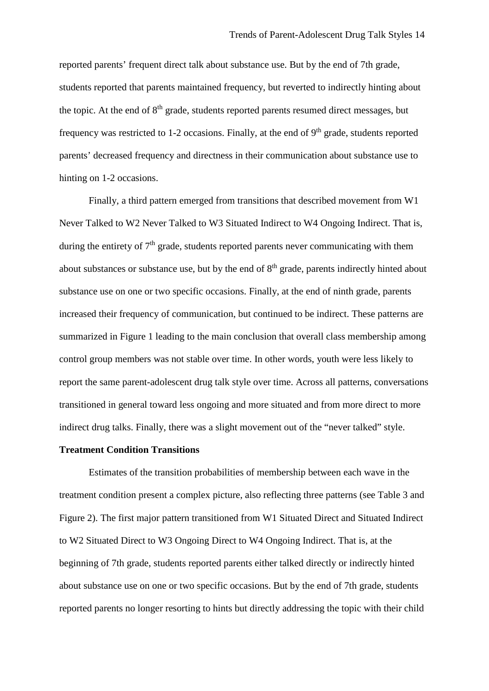reported parents' frequent direct talk about substance use. But by the end of 7th grade, students reported that parents maintained frequency, but reverted to indirectly hinting about the topic. At the end of 8<sup>th</sup> grade, students reported parents resumed direct messages, but frequency was restricted to 1-2 occasions. Finally, at the end of  $9<sup>th</sup>$  grade, students reported parents' decreased frequency and directness in their communication about substance use to hinting on 1-2 occasions.

Finally, a third pattern emerged from transitions that described movement from W1 Never Talked to W2 Never Talked to W3 Situated Indirect to W4 Ongoing Indirect. That is, during the entirety of  $7<sup>th</sup>$  grade, students reported parents never communicating with them about substances or substance use, but by the end of 8<sup>th</sup> grade, parents indirectly hinted about substance use on one or two specific occasions. Finally, at the end of ninth grade, parents increased their frequency of communication, but continued to be indirect. These patterns are summarized in Figure 1 leading to the main conclusion that overall class membership among control group members was not stable over time. In other words, youth were less likely to report the same parent-adolescent drug talk style over time. Across all patterns, conversations transitioned in general toward less ongoing and more situated and from more direct to more indirect drug talks. Finally, there was a slight movement out of the "never talked" style.

## **Treatment Condition Transitions**

Estimates of the transition probabilities of membership between each wave in the treatment condition present a complex picture, also reflecting three patterns (see Table 3 and Figure 2). The first major pattern transitioned from W1 Situated Direct and Situated Indirect to W2 Situated Direct to W3 Ongoing Direct to W4 Ongoing Indirect. That is, at the beginning of 7th grade, students reported parents either talked directly or indirectly hinted about substance use on one or two specific occasions. But by the end of 7th grade, students reported parents no longer resorting to hints but directly addressing the topic with their child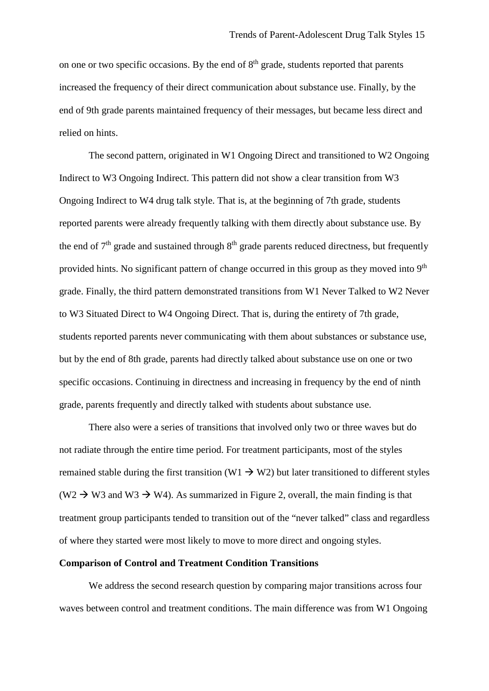on one or two specific occasions. By the end of 8<sup>th</sup> grade, students reported that parents increased the frequency of their direct communication about substance use. Finally, by the end of 9th grade parents maintained frequency of their messages, but became less direct and relied on hints.

The second pattern, originated in W1 Ongoing Direct and transitioned to W2 Ongoing Indirect to W3 Ongoing Indirect. This pattern did not show a clear transition from W3 Ongoing Indirect to W4 drug talk style. That is, at the beginning of 7th grade, students reported parents were already frequently talking with them directly about substance use. By the end of  $7<sup>th</sup>$  grade and sustained through  $8<sup>th</sup>$  grade parents reduced directness, but frequently provided hints. No significant pattern of change occurred in this group as they moved into 9<sup>th</sup> grade. Finally, the third pattern demonstrated transitions from W1 Never Talked to W2 Never to W3 Situated Direct to W4 Ongoing Direct. That is, during the entirety of 7th grade, students reported parents never communicating with them about substances or substance use, but by the end of 8th grade, parents had directly talked about substance use on one or two specific occasions. Continuing in directness and increasing in frequency by the end of ninth grade, parents frequently and directly talked with students about substance use.

There also were a series of transitions that involved only two or three waves but do not radiate through the entire time period. For treatment participants, most of the styles remained stable during the first transition (W1  $\rightarrow$  W2) but later transitioned to different styles  $(W2 \rightarrow W3$  and  $W3 \rightarrow W4$ ). As summarized in Figure 2, overall, the main finding is that treatment group participants tended to transition out of the "never talked" class and regardless of where they started were most likely to move to more direct and ongoing styles.

## **Comparison of Control and Treatment Condition Transitions**

We address the second research question by comparing major transitions across four waves between control and treatment conditions. The main difference was from W1 Ongoing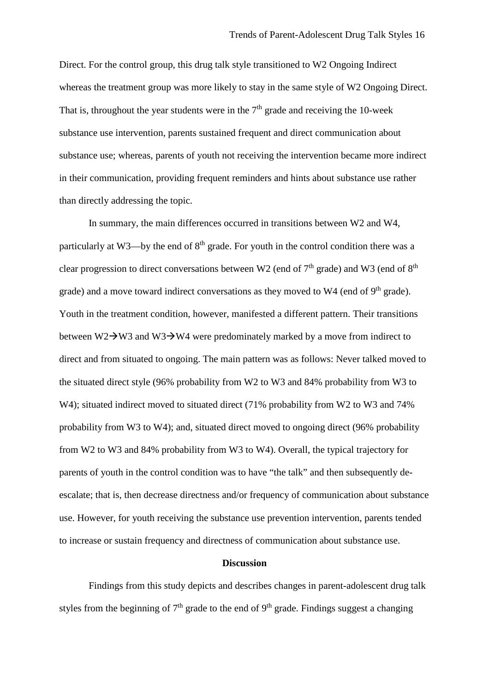Direct. For the control group, this drug talk style transitioned to W2 Ongoing Indirect whereas the treatment group was more likely to stay in the same style of W2 Ongoing Direct. That is, throughout the year students were in the  $7<sup>th</sup>$  grade and receiving the 10-week substance use intervention, parents sustained frequent and direct communication about substance use; whereas, parents of youth not receiving the intervention became more indirect in their communication, providing frequent reminders and hints about substance use rather than directly addressing the topic.

In summary, the main differences occurred in transitions between W2 and W4, particularly at W3—by the end of  $8<sup>th</sup>$  grade. For youth in the control condition there was a clear progression to direct conversations between W2 (end of  $7<sup>th</sup>$  grade) and W3 (end of  $8<sup>th</sup>$ grade) and a move toward indirect conversations as they moved to  $W4$  (end of  $9<sup>th</sup>$  grade). Youth in the treatment condition, however, manifested a different pattern. Their transitions between  $W2\rightarrow W3$  and  $W3\rightarrow W4$  were predominately marked by a move from indirect to direct and from situated to ongoing. The main pattern was as follows: Never talked moved to the situated direct style (96% probability from W2 to W3 and 84% probability from W3 to W4); situated indirect moved to situated direct (71% probability from W2 to W3 and 74% probability from W3 to W4); and, situated direct moved to ongoing direct (96% probability from W2 to W3 and 84% probability from W3 to W4). Overall, the typical trajectory for parents of youth in the control condition was to have "the talk" and then subsequently deescalate; that is, then decrease directness and/or frequency of communication about substance use. However, for youth receiving the substance use prevention intervention, parents tended to increase or sustain frequency and directness of communication about substance use.

## **Discussion**

Findings from this study depicts and describes changes in parent-adolescent drug talk styles from the beginning of  $7<sup>th</sup>$  grade to the end of  $9<sup>th</sup>$  grade. Findings suggest a changing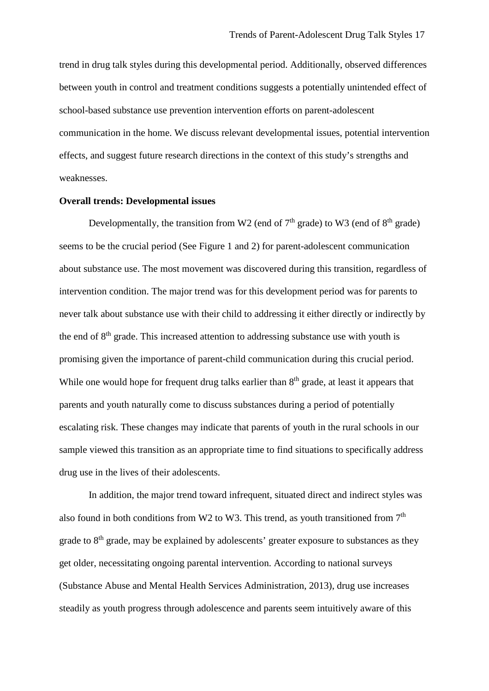trend in drug talk styles during this developmental period. Additionally, observed differences between youth in control and treatment conditions suggests a potentially unintended effect of school-based substance use prevention intervention efforts on parent-adolescent communication in the home. We discuss relevant developmental issues, potential intervention effects, and suggest future research directions in the context of this study's strengths and weaknesses.

## **Overall trends: Developmental issues**

Developmentally, the transition from W2 (end of  $7<sup>th</sup>$  grade) to W3 (end of  $8<sup>th</sup>$  grade) seems to be the crucial period (See Figure 1 and 2) for parent-adolescent communication about substance use. The most movement was discovered during this transition, regardless of intervention condition. The major trend was for this development period was for parents to never talk about substance use with their child to addressing it either directly or indirectly by the end of  $8<sup>th</sup>$  grade. This increased attention to addressing substance use with youth is promising given the importance of parent-child communication during this crucial period. While one would hope for frequent drug talks earlier than  $8<sup>th</sup>$  grade, at least it appears that parents and youth naturally come to discuss substances during a period of potentially escalating risk. These changes may indicate that parents of youth in the rural schools in our sample viewed this transition as an appropriate time to find situations to specifically address drug use in the lives of their adolescents.

In addition, the major trend toward infrequent, situated direct and indirect styles was also found in both conditions from W2 to W3. This trend, as youth transitioned from  $7<sup>th</sup>$ grade to  $8<sup>th</sup>$  grade, may be explained by adolescents' greater exposure to substances as they get older, necessitating ongoing parental intervention. According to national surveys (Substance Abuse and Mental Health Services Administration, 2013), drug use increases steadily as youth progress through adolescence and parents seem intuitively aware of this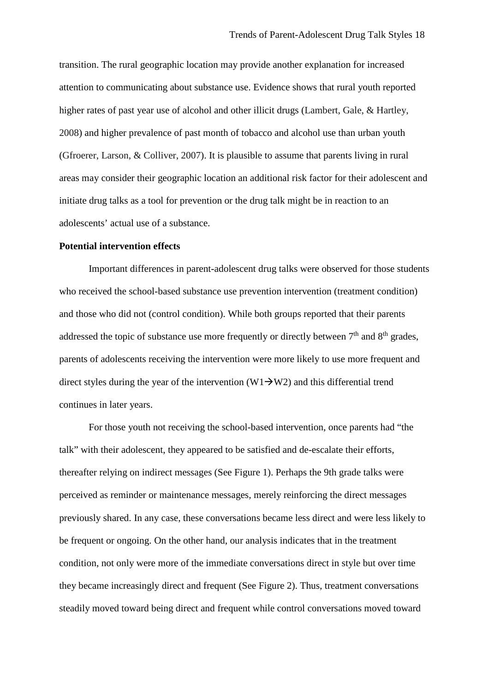transition. The rural geographic location may provide another explanation for increased attention to communicating about substance use. Evidence shows that rural youth reported higher rates of past year use of alcohol and other illicit drugs (Lambert, Gale, & Hartley, 2008) and higher prevalence of past month of tobacco and alcohol use than urban youth (Gfroerer, Larson, & Colliver, 2007). It is plausible to assume that parents living in rural areas may consider their geographic location an additional risk factor for their adolescent and initiate drug talks as a tool for prevention or the drug talk might be in reaction to an adolescents' actual use of a substance.

## **Potential intervention effects**

Important differences in parent-adolescent drug talks were observed for those students who received the school-based substance use prevention intervention (treatment condition) and those who did not (control condition). While both groups reported that their parents addressed the topic of substance use more frequently or directly between  $7<sup>th</sup>$  and  $8<sup>th</sup>$  grades, parents of adolescents receiving the intervention were more likely to use more frequent and direct styles during the year of the intervention  $(W1 \rightarrow W2)$  and this differential trend continues in later years.

For those youth not receiving the school-based intervention, once parents had "the talk" with their adolescent, they appeared to be satisfied and de-escalate their efforts, thereafter relying on indirect messages (See Figure 1). Perhaps the 9th grade talks were perceived as reminder or maintenance messages, merely reinforcing the direct messages previously shared. In any case, these conversations became less direct and were less likely to be frequent or ongoing. On the other hand, our analysis indicates that in the treatment condition, not only were more of the immediate conversations direct in style but over time they became increasingly direct and frequent (See Figure 2). Thus, treatment conversations steadily moved toward being direct and frequent while control conversations moved toward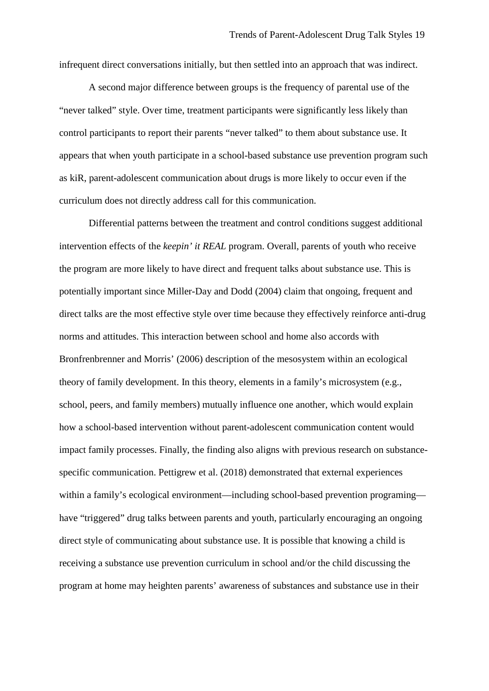infrequent direct conversations initially, but then settled into an approach that was indirect.

A second major difference between groups is the frequency of parental use of the "never talked" style. Over time, treatment participants were significantly less likely than control participants to report their parents "never talked" to them about substance use. It appears that when youth participate in a school-based substance use prevention program such as kiR, parent-adolescent communication about drugs is more likely to occur even if the curriculum does not directly address call for this communication.

Differential patterns between the treatment and control conditions suggest additional intervention effects of the *keepin' it REAL* program. Overall, parents of youth who receive the program are more likely to have direct and frequent talks about substance use. This is potentially important since Miller-Day and Dodd (2004) claim that ongoing, frequent and direct talks are the most effective style over time because they effectively reinforce anti-drug norms and attitudes. This interaction between school and home also accords with Bronfrenbrenner and Morris' (2006) description of the mesosystem within an ecological theory of family development. In this theory, elements in a family's microsystem (e.g., school, peers, and family members) mutually influence one another, which would explain how a school-based intervention without parent-adolescent communication content would impact family processes. Finally, the finding also aligns with previous research on substancespecific communication. Pettigrew et al. (2018) demonstrated that external experiences within a family's ecological environment—including school-based prevention programing have "triggered" drug talks between parents and youth, particularly encouraging an ongoing direct style of communicating about substance use. It is possible that knowing a child is receiving a substance use prevention curriculum in school and/or the child discussing the program at home may heighten parents' awareness of substances and substance use in their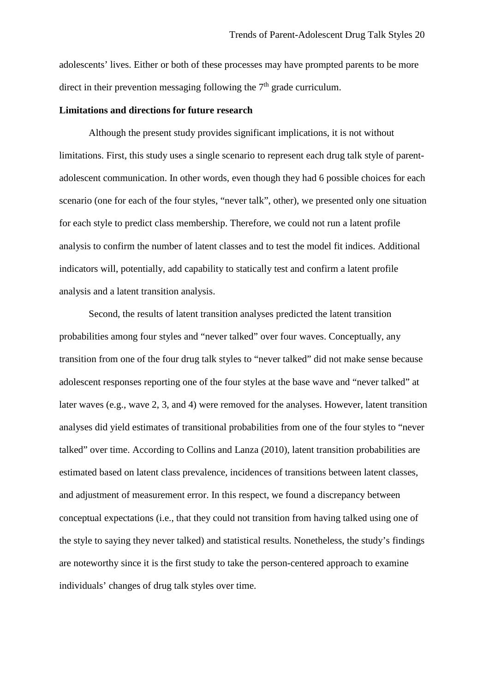adolescents' lives. Either or both of these processes may have prompted parents to be more direct in their prevention messaging following the  $7<sup>th</sup>$  grade curriculum.

## **Limitations and directions for future research**

Although the present study provides significant implications, it is not without limitations. First, this study uses a single scenario to represent each drug talk style of parentadolescent communication. In other words, even though they had 6 possible choices for each scenario (one for each of the four styles, "never talk", other), we presented only one situation for each style to predict class membership. Therefore, we could not run a latent profile analysis to confirm the number of latent classes and to test the model fit indices. Additional indicators will, potentially, add capability to statically test and confirm a latent profile analysis and a latent transition analysis.

Second, the results of latent transition analyses predicted the latent transition probabilities among four styles and "never talked" over four waves. Conceptually, any transition from one of the four drug talk styles to "never talked" did not make sense because adolescent responses reporting one of the four styles at the base wave and "never talked" at later waves (e.g., wave 2, 3, and 4) were removed for the analyses. However, latent transition analyses did yield estimates of transitional probabilities from one of the four styles to "never talked" over time. According to Collins and Lanza (2010), latent transition probabilities are estimated based on latent class prevalence, incidences of transitions between latent classes, and adjustment of measurement error. In this respect, we found a discrepancy between conceptual expectations (i.e., that they could not transition from having talked using one of the style to saying they never talked) and statistical results. Nonetheless, the study's findings are noteworthy since it is the first study to take the person-centered approach to examine individuals' changes of drug talk styles over time.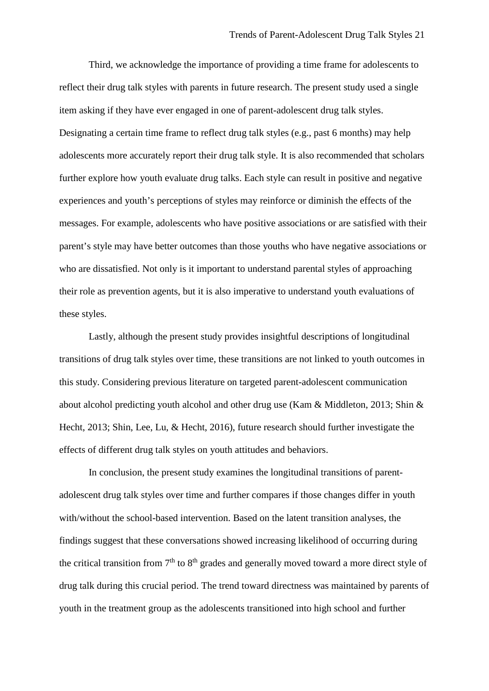Third, we acknowledge the importance of providing a time frame for adolescents to reflect their drug talk styles with parents in future research. The present study used a single item asking if they have ever engaged in one of parent-adolescent drug talk styles. Designating a certain time frame to reflect drug talk styles (e.g., past 6 months) may help adolescents more accurately report their drug talk style. It is also recommended that scholars further explore how youth evaluate drug talks. Each style can result in positive and negative experiences and youth's perceptions of styles may reinforce or diminish the effects of the messages. For example, adolescents who have positive associations or are satisfied with their parent's style may have better outcomes than those youths who have negative associations or who are dissatisfied. Not only is it important to understand parental styles of approaching their role as prevention agents, but it is also imperative to understand youth evaluations of these styles.

Lastly, although the present study provides insightful descriptions of longitudinal transitions of drug talk styles over time, these transitions are not linked to youth outcomes in this study. Considering previous literature on targeted parent-adolescent communication about alcohol predicting youth alcohol and other drug use (Kam & Middleton, 2013; Shin & Hecht, 2013; Shin, Lee, Lu, & Hecht, 2016), future research should further investigate the effects of different drug talk styles on youth attitudes and behaviors.

In conclusion, the present study examines the longitudinal transitions of parentadolescent drug talk styles over time and further compares if those changes differ in youth with/without the school-based intervention. Based on the latent transition analyses, the findings suggest that these conversations showed increasing likelihood of occurring during the critical transition from  $7<sup>th</sup>$  to  $8<sup>th</sup>$  grades and generally moved toward a more direct style of drug talk during this crucial period. The trend toward directness was maintained by parents of youth in the treatment group as the adolescents transitioned into high school and further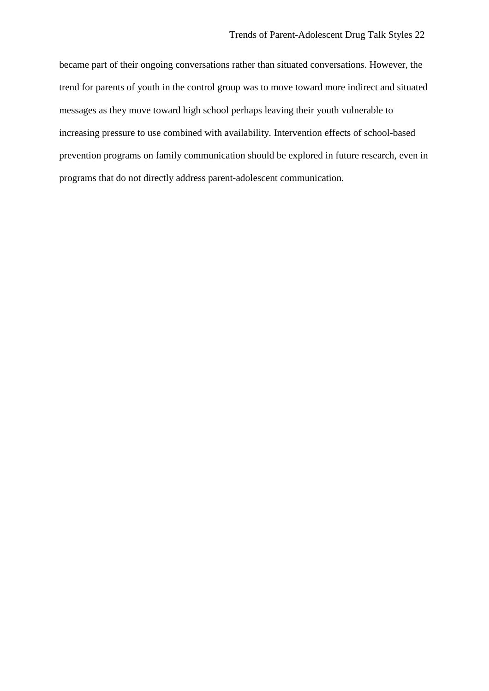became part of their ongoing conversations rather than situated conversations. However, the trend for parents of youth in the control group was to move toward more indirect and situated messages as they move toward high school perhaps leaving their youth vulnerable to increasing pressure to use combined with availability. Intervention effects of school-based prevention programs on family communication should be explored in future research, even in programs that do not directly address parent-adolescent communication.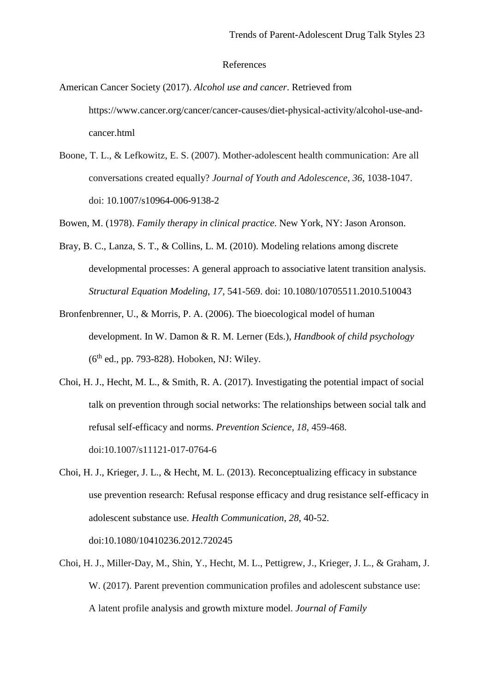#### References

American Cancer Society (2017). *Alcohol use and cancer*. Retrieved from https://www.cancer.org/cancer/cancer-causes/diet-physical-activity/alcohol-use-andcancer.html

Boone, T. L., & Lefkowitz, E. S. (2007). Mother-adolescent health communication: Are all conversations created equally? *Journal of Youth and Adolescence*, *36*, 1038-1047. doi: 10.1007/s10964-006-9138-2

Bowen, M. (1978). *Family therapy in clinical practice*. New York, NY: Jason Aronson.

- Bray, B. C., Lanza, S. T., & Collins, L. M. (2010). Modeling relations among discrete developmental processes: A general approach to associative latent transition analysis. *Structural Equation Modeling*, *17*, 541-569. doi: 10.1080/10705511.2010.510043
- Bronfenbrenner, U., & Morris, P. A. (2006). The bioecological model of human development. In W. Damon & R. M. Lerner (Eds.), *Handbook of child psychology*   $(6<sup>th</sup>$  ed., pp. 793-828). Hoboken, NJ: Wiley.
- Choi, H. J., Hecht, M. L., & Smith, R. A. (2017). Investigating the potential impact of social talk on prevention through social networks: The relationships between social talk and refusal self-efficacy and norms. *Prevention Science, 18*, 459-468. doi:10.1007/s11121-017-0764-6
- Choi, H. J., Krieger, J. L., & Hecht, M. L. (2013). Reconceptualizing efficacy in substance use prevention research: Refusal response efficacy and drug resistance self-efficacy in adolescent substance use. *Health Communication*, *28*, 40-52. doi:10.1080/10410236.2012.720245
- Choi, H. J., Miller-Day, M., Shin, Y., Hecht, M. L., Pettigrew, J., Krieger, J. L., & Graham, J. W. (2017). Parent prevention communication profiles and adolescent substance use: A latent profile analysis and growth mixture model. *Journal of Family*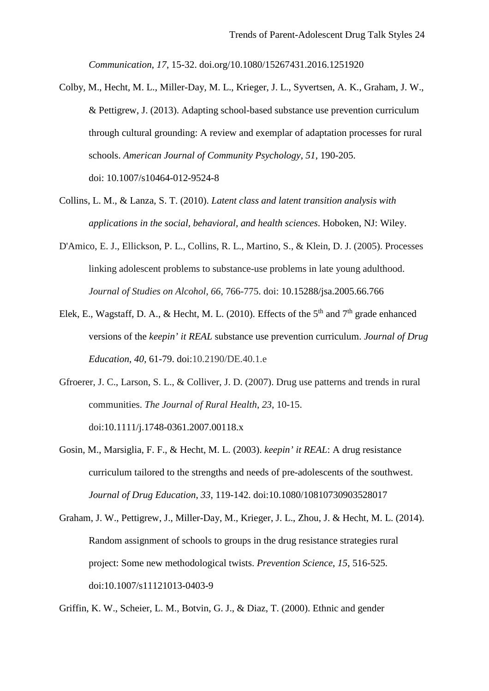*Communication*, *17*, 15-32. doi.org/10.1080/15267431.2016.1251920

- Colby, M., Hecht, M. L., Miller-Day, M. L., Krieger, J. L., Syvertsen, A. K., Graham, J. W., & Pettigrew, J. (2013). Adapting school-based substance use prevention curriculum through cultural grounding: A review and exemplar of adaptation processes for rural schools. *American Journal of Community Psychology*, *51*, 190-205. doi: 10.1007/s10464-012-9524-8
- Collins, L. M., & Lanza, S. T. (2010). *Latent class and latent transition analysis with applications in the social, behavioral, and health sciences*. Hoboken, NJ: Wiley.
- D'Amico, E. J., Ellickson, P. L., Collins, R. L., Martino, S., & Klein, D. J. (2005). Processes linking adolescent problems to substance-use problems in late young adulthood. *Journal of Studies on Alcohol*, *66*, 766-775. doi: 10.15288/jsa.2005.66.766
- Elek, E., Wagstaff, D. A., & Hecht, M. L. (2010). Effects of the  $5<sup>th</sup>$  and  $7<sup>th</sup>$  grade enhanced versions of the *keepin' it REAL* substance use prevention curriculum. *Journal of Drug Education*, *40*, 61-79. doi:10.2190/DE.40.1.e
- Gfroerer, J. C., Larson, S. L., & Colliver, J. D. (2007). Drug use patterns and trends in rural communities. *The Journal of Rural Health*, *23*, 10-15. doi:10.1111/j.1748-0361.2007.00118.x
- Gosin, M., Marsiglia, F. F., & Hecht, M. L. (2003). *keepin' it REAL*: A drug resistance curriculum tailored to the strengths and needs of pre-adolescents of the southwest. *Journal of Drug Education*, *33*, 119-142. doi:10.1080/10810730903528017
- Graham, J. W., Pettigrew, J., Miller-Day, M., Krieger, J. L., Zhou, J. & Hecht, M. L. (2014). Random assignment of schools to groups in the drug resistance strategies rural project: Some new methodological twists. *Prevention Science*, *15*, 516-525*.* doi:10.1007/s11121013-0403-9

Griffin, K. W., Scheier, L. M., Botvin, G. J., & Diaz, T. (2000). Ethnic and gender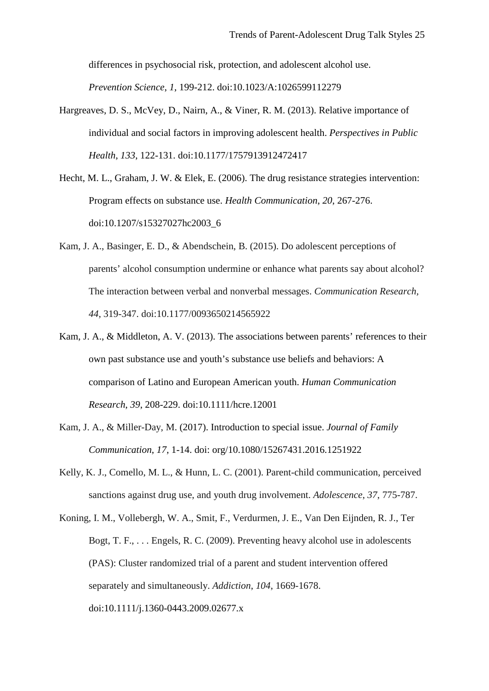differences in psychosocial risk, protection, and adolescent alcohol use. *Prevention Science*, *1*, 199-212. doi:10.1023/A:1026599112279

- Hargreaves, D. S., McVey, D., Nairn, A., & Viner, R. M. (2013). Relative importance of individual and social factors in improving adolescent health. *Perspectives in Public Health*, *133*, 122-131. doi:10.1177/1757913912472417
- Hecht, M. L., Graham, J. W. & Elek, E. (2006). The drug resistance strategies intervention: Program effects on substance use. *Health Communication*, *20*, 267-276. doi:10.1207/s15327027hc2003\_6
- Kam, J. A., Basinger, E. D., & Abendschein, B. (2015). Do adolescent perceptions of parents' alcohol consumption undermine or enhance what parents say about alcohol? The interaction between verbal and nonverbal messages. *Communication Research, 44*, 319-347. doi:10.1177/0093650214565922
- Kam, J. A., & Middleton, A. V. (2013). The associations between parents' references to their own past substance use and youth's substance use beliefs and behaviors: A comparison of Latino and European American youth. *Human Communication Research*, *39*, 208-229. doi:10.1111/hcre.12001
- Kam, J. A., & Miller-Day, M. (2017). Introduction to special issue. *Journal of Family Communication*, *17*, 1-14. doi: org/10.1080/15267431.2016.1251922
- Kelly, K. J., Comello, M. L., & Hunn, L. C. (2001). Parent-child communication, perceived sanctions against drug use, and youth drug involvement. *Adolescence*, *37*, 775-787.
- Koning, I. M., Vollebergh, W. A., Smit, F., Verdurmen, J. E., Van Den Eijnden, R. J., Ter Bogt, T. F., . . . Engels, R. C. (2009). Preventing heavy alcohol use in adolescents (PAS): Cluster randomized trial of a parent and student intervention offered separately and simultaneously. *Addiction*, *104*, 1669-1678. doi:10.1111/j.1360-0443.2009.02677.x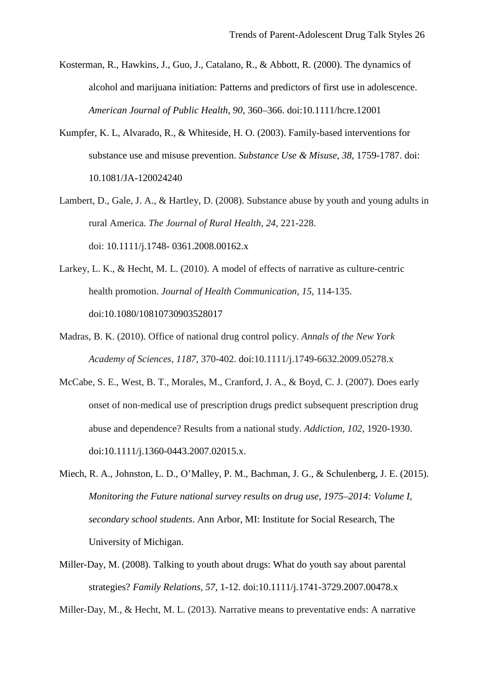- Kosterman, R., Hawkins, J., Guo, J., Catalano, R., & Abbott, R. (2000). The dynamics of alcohol and marijuana initiation: Patterns and predictors of first use in adolescence. *American Journal of Public Health*, *90*, 360–366. doi:10.1111/hcre.12001
- Kumpfer, K. L, Alvarado, R., & Whiteside, H. O. (2003). Family-based interventions for substance use and misuse prevention. *Substance Use & Misuse*, *38*, 1759-1787. doi: 10.1081/JA-120024240
- Lambert, D., Gale, J. A., & Hartley, D. (2008). Substance abuse by youth and young adults in rural America. *The Journal of Rural Health*, *24*, 221-228. doi: 10.1111/j.1748- 0361.2008.00162.x
- Larkey, L. K., & Hecht, M. L. (2010). A model of effects of narrative as culture-centric health promotion. *Journal of Health Communication*, *15*, 114-135. doi:10.1080/10810730903528017
- Madras, B. K. (2010). Office of national drug control policy. *Annals of the New York Academy of Sciences*, *1187*, 370-402. doi:10.1111/j.1749-6632.2009.05278.x
- McCabe, S. E., West, B. T., Morales, M., Cranford, J. A., & Boyd, C. J. (2007). Does early onset of non‐medical use of prescription drugs predict subsequent prescription drug abuse and dependence? Results from a national study. *Addiction*, *102*, 1920-1930. doi:10.1111/j.1360-0443.2007.02015.x.
- Miech, R. A., Johnston, L. D., O'Malley, P. M., Bachman, J. G., & Schulenberg, J. E. (2015). *Monitoring the Future national survey results on drug use*, *1975–2014: Volume I, secondary school students*. Ann Arbor, MI: Institute for Social Research, The University of Michigan.
- Miller-Day, M. (2008). Talking to youth about drugs: What do youth say about parental strategies? *Family Relations*, *57*, 1-12. doi:10.1111/j.1741-3729.2007.00478.x

Miller-Day, M., & Hecht, M. L. (2013). Narrative means to preventative ends: A narrative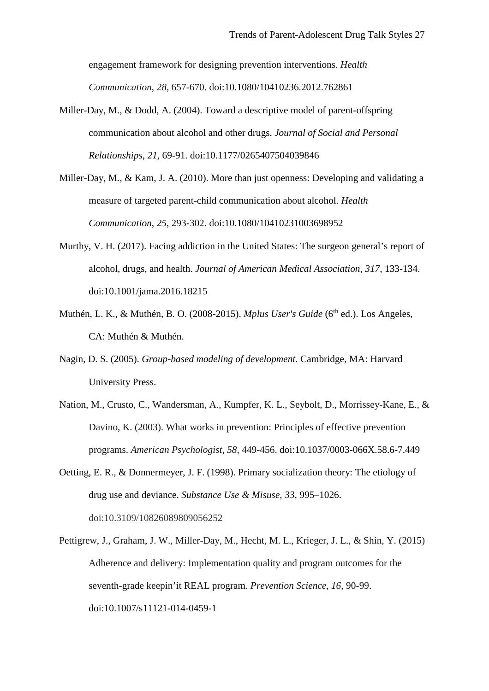engagement framework for designing prevention interventions. *Health Communication*, *28*, 657-670. doi:10.1080/10410236.2012.762861

- Miller-Day, M., & Dodd, A. (2004). Toward a descriptive model of parent-offspring communication about alcohol and other drugs. *Journal of Social and Personal Relationships*, *21*, 69-91. doi:10.1177/0265407504039846
- Miller-Day, M., & Kam, J. A. (2010). More than just openness: Developing and validating a measure of targeted parent-child communication about alcohol. *Health Communication*, *25*, 293-302. doi:10.1080/10410231003698952
- Murthy, V. H. (2017). Facing addiction in the United States: The surgeon general's report of alcohol, drugs, and health. *Journal of American Medical Association*, *317*, 133-134. doi:10.1001/jama.2016.18215
- Muthén, L. K., & Muthén, B. O. (2008-2015). *Mplus User's Guide* (6<sup>th</sup> ed.). Los Angeles, CA: Muthén & Muthén.
- Nagin, D. S. (2005). *Group-based modeling of development*. Cambridge, MA: Harvard University Press.
- Nation, M., Crusto, C., Wandersman, A., Kumpfer, K. L., Seybolt, D., Morrissey-Kane, E., & Davino, K. (2003). What works in prevention: Principles of effective prevention programs. *American Psychologist*, *58*, 449-456. doi:10.1037/0003-066X.58.6-7.449
- Oetting, E. R., & Donnermeyer, J. F. (1998). Primary socialization theory: The etiology of drug use and deviance. *Substance Use & Misuse*, *33*, 995–1026. doi:10.3109/10826089809056252
- Pettigrew, J., Graham, J. W., Miller-Day, M., Hecht, M. L., Krieger, J. L., & Shin, Y. (2015) Adherence and delivery: Implementation quality and program outcomes for the seventh-grade keepin'it REAL program. *Prevention Science*, *16*, 90-99. doi:10.1007/s11121-014-0459-1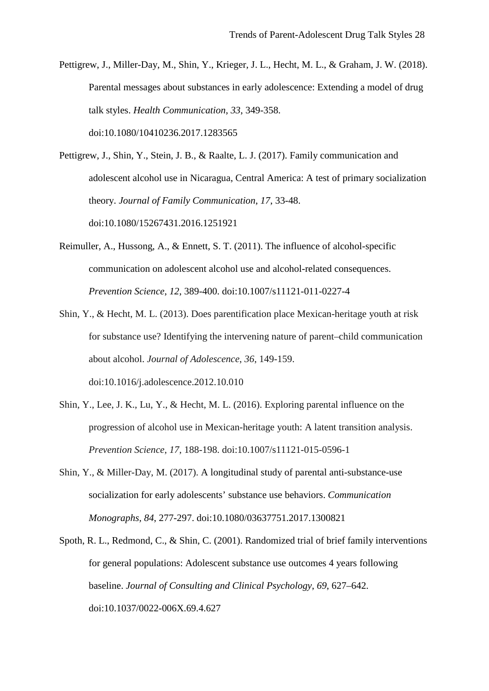Pettigrew, J., Miller-Day, M., Shin, Y., Krieger, J. L., Hecht, M. L., & Graham, J. W. (2018). Parental messages about substances in early adolescence: Extending a model of drug talk styles. *Health Communication*, *33*, 349-358. doi:10.1080/10410236.2017.1283565

Pettigrew, J., Shin, Y., Stein, J. B., & Raalte, L. J. (2017). Family communication and adolescent alcohol use in Nicaragua, Central America: A test of primary socialization theory. *Journal of Family Communication*, *17*, 33-48. doi:10.1080/15267431.2016.1251921

- Reimuller, A., Hussong, A., & Ennett, S. T. (2011). The influence of alcohol-specific communication on adolescent alcohol use and alcohol-related consequences. *Prevention Science*, *12*, 389-400. doi:10.1007/s11121-011-0227-4
- Shin, Y., & Hecht, M. L. (2013). Does parentification place Mexican-heritage youth at risk for substance use? Identifying the intervening nature of parent–child communication about alcohol. *Journal of Adolescence*, *36*, 149-159. doi:10.1016/j.adolescence.2012.10.010
- Shin, Y., Lee, J. K., Lu, Y., & Hecht, M. L. (2016). Exploring parental influence on the progression of alcohol use in Mexican-heritage youth: A latent transition analysis. *Prevention Science*, *17*, 188-198. doi:10.1007/s11121-015-0596-1
- Shin, Y., & Miller-Day, M. (2017). A longitudinal study of parental anti-substance-use socialization for early adolescents' substance use behaviors. *Communication Monographs, 84*, 277-297. doi:10.1080/03637751.2017.1300821
- Spoth, R. L., Redmond, C., & Shin, C. (2001). Randomized trial of brief family interventions for general populations: Adolescent substance use outcomes 4 years following baseline. *Journal of Consulting and Clinical Psychology*, *69*, 627–642. doi:10.1037/0022-006X.69.4.627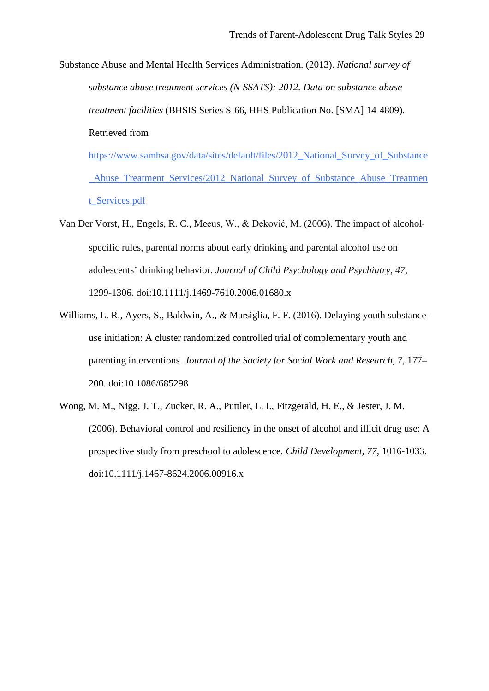Substance Abuse and Mental Health Services Administration. (2013). *National survey of substance abuse treatment services (N-SSATS): 2012. Data on substance abuse treatment facilities* (BHSIS Series S-66, HHS Publication No. [SMA] 14-4809). Retrieved from

https://www.samhsa.gov/data/sites/default/files/2012\_National\_Survey\_of\_Substance \_Abuse\_Treatment\_Services/2012\_National\_Survey\_of\_Substance\_Abuse\_Treatmen t\_Services.pdf

- Van Der Vorst, H., Engels, R. C., Meeus, W., & Deković, M. (2006). The impact of alcohol‐ specific rules, parental norms about early drinking and parental alcohol use on adolescents' drinking behavior. *Journal of Child Psychology and Psychiatry*, *47*, 1299-1306. doi:10.1111/j.1469-7610.2006.01680.x
- Williams, L. R., Ayers, S., Baldwin, A., & Marsiglia, F. F. (2016). Delaying youth substanceuse initiation: A cluster randomized controlled trial of complementary youth and parenting interventions. *Journal of the Society for Social Work and Research*, *7*, 177– 200. doi:10.1086/685298
- Wong, M. M., Nigg, J. T., Zucker, R. A., Puttler, L. I., Fitzgerald, H. E., & Jester, J. M. (2006). Behavioral control and resiliency in the onset of alcohol and illicit drug use: A prospective study from preschool to adolescence. *Child Development, 77,* 1016-1033. doi:10.1111/j.1467-8624.2006.00916.x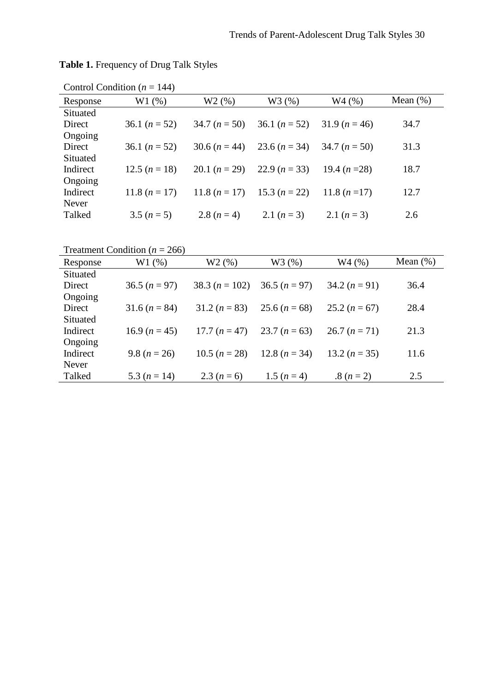| Control Condition ( $n = 144$ ) |                 |                                 |                                                 |               |             |  |  |
|---------------------------------|-----------------|---------------------------------|-------------------------------------------------|---------------|-------------|--|--|
| Response                        | W1(%)           | W2(%)                           | W3 (%)                                          | W4(%)         | Mean $(\%)$ |  |  |
| Situated                        |                 |                                 |                                                 |               |             |  |  |
| Direct                          | 36.1 $(n = 52)$ |                                 | 34.7 $(n = 50)$ 36.1 $(n = 52)$ 31.9 $(n = 46)$ |               | 34.7        |  |  |
| Ongoing                         |                 |                                 |                                                 |               |             |  |  |
| Direct                          | 36.1 $(n = 52)$ |                                 | 30.6 $(n = 44)$ 23.6 $(n = 34)$ 34.7 $(n = 50)$ |               | 31.3        |  |  |
| Situated                        |                 |                                 |                                                 |               |             |  |  |
| Indirect                        | 12.5 $(n = 18)$ |                                 | 20.1 $(n = 29)$ 22.9 $(n = 33)$                 | 19.4 $(n=28)$ | 18.7        |  |  |
| Ongoing                         |                 |                                 |                                                 |               |             |  |  |
| Indirect                        | 11.8 $(n = 17)$ | 11.8 $(n = 17)$ 15.3 $(n = 22)$ |                                                 | 11.8 $(n=17)$ | 12.7        |  |  |
| Never                           |                 |                                 |                                                 |               |             |  |  |
| Talked                          | $3.5 (n=5)$     | 2.8 $(n=4)$                     | 2.1 $(n=3)$                                     | 2.1 $(n=3)$   | 2.6         |  |  |

**Table 1.** Frequency of Drug Talk Styles

Treatment Condition ( $n = 266$ )

| Response | W1(%)           | W2(%)            | W3(%)                           | W4(%)           | Mean $(\%)$ |
|----------|-----------------|------------------|---------------------------------|-----------------|-------------|
| Situated |                 |                  |                                 |                 |             |
| Direct   | $36.5 (n = 97)$ | $38.3 (n = 102)$ | $36.5 (n=97)$                   | $34.2 (n=91)$   | 36.4        |
| Ongoing  |                 |                  |                                 |                 |             |
| Direct   | $31.6 (n = 84)$ | $31.2 (n = 83)$  | 25.6 $(n = 68)$                 | 25.2 $(n = 67)$ | 28.4        |
| Situated |                 |                  |                                 |                 |             |
| Indirect | 16.9 $(n = 45)$ |                  | 17.7 $(n = 47)$ 23.7 $(n = 63)$ | $26.7 (n = 71)$ | 21.3        |
| Ongoing  |                 |                  |                                 |                 |             |
| Indirect | 9.8 $(n = 26)$  | 10.5 $(n = 28)$  | 12.8 $(n = 34)$                 | 13.2 $(n = 35)$ | 11.6        |
| Never    |                 |                  |                                 |                 |             |
| Talked   | 5.3 $(n = 14)$  | 2.3 $(n = 6)$    | 1.5 $(n = 4)$                   | $.8(n=2)$       | 2.5         |
|          |                 |                  |                                 |                 |             |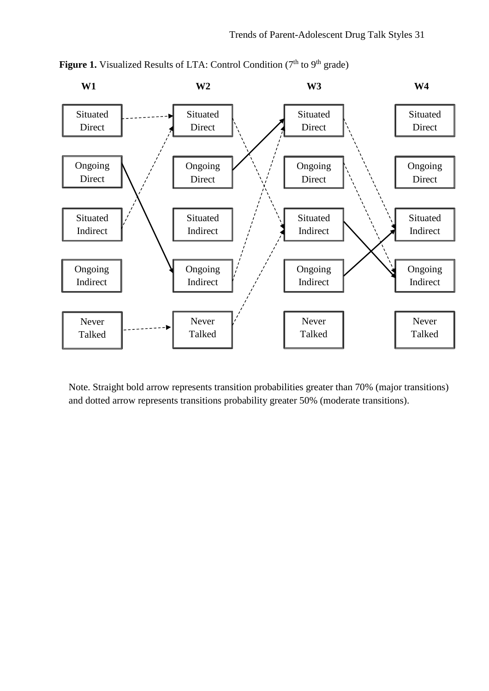

Figure 1. Visualized Results of LTA: Control Condition (7<sup>th</sup> to 9<sup>th</sup> grade)

Note. Straight bold arrow represents transition probabilities greater than 70% (major transitions) and dotted arrow represents transitions probability greater 50% (moderate transitions).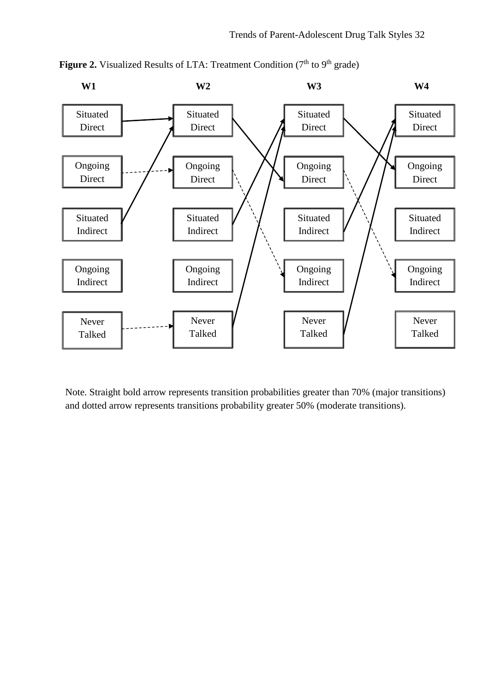

Figure 2. Visualized Results of LTA: Treatment Condition (7<sup>th</sup> to 9<sup>th</sup> grade)

Note. Straight bold arrow represents transition probabilities greater than 70% (major transitions) and dotted arrow represents transitions probability greater 50% (moderate transitions).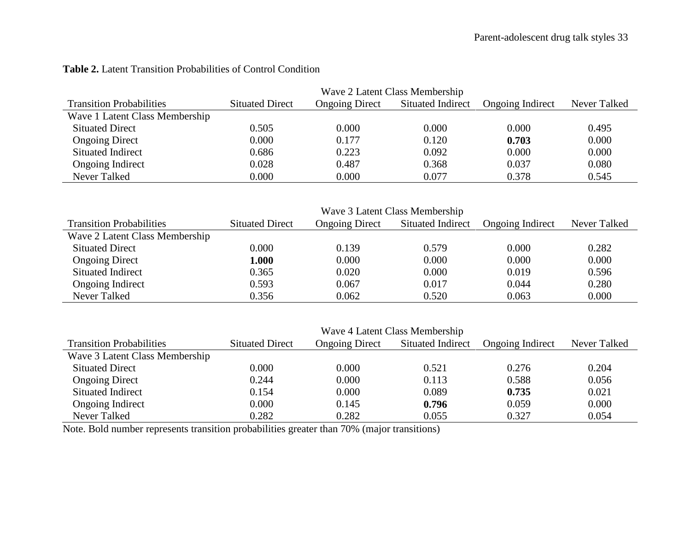|                                 | Wave 2 Latent Class Membership |                       |                   |                         |              |  |
|---------------------------------|--------------------------------|-----------------------|-------------------|-------------------------|--------------|--|
| <b>Transition Probabilities</b> | <b>Situated Direct</b>         | <b>Ongoing Direct</b> | Situated Indirect | <b>Ongoing Indirect</b> | Never Talked |  |
| Wave 1 Latent Class Membership  |                                |                       |                   |                         |              |  |
| <b>Situated Direct</b>          | 0.505                          | 0.000                 | 0.000             | 0.000                   | 0.495        |  |
| <b>Ongoing Direct</b>           | 0.000                          | 0.177                 | 0.120             | 0.703                   | 0.000        |  |
| Situated Indirect               | 0.686                          | 0.223                 | 0.092             | 0.000                   | 0.000        |  |
| <b>Ongoing Indirect</b>         | 0.028                          | 0.487                 | 0.368             | 0.037                   | 0.080        |  |
| Never Talked                    | 0.000                          | 0.000                 | 0.077             | 0.378                   | 0.545        |  |

## **Table 2.** Latent Transition Probabilities of Control Condition

|                                 | Wave 3 Latent Class Membership |                       |                          |                         |              |  |
|---------------------------------|--------------------------------|-----------------------|--------------------------|-------------------------|--------------|--|
| <b>Transition Probabilities</b> | <b>Situated Direct</b>         | <b>Ongoing Direct</b> | <b>Situated Indirect</b> | <b>Ongoing Indirect</b> | Never Talked |  |
| Wave 2 Latent Class Membership  |                                |                       |                          |                         |              |  |
| <b>Situated Direct</b>          | 0.000                          | 0.139                 | 0.579                    | 0.000                   | 0.282        |  |
| <b>Ongoing Direct</b>           | 000.1                          | 0.000                 | 0.000                    | 0.000                   | 0.000        |  |
| Situated Indirect               | 0.365                          | 0.020                 | 0.000                    | 0.019                   | 0.596        |  |
| <b>Ongoing Indirect</b>         | 0.593                          | 0.067                 | 0.017                    | 0.044                   | 0.280        |  |
| Never Talked                    | 0.356                          | 0.062                 | 0.520                    | 0.063                   | 0.000        |  |

|                                 | Wave 4 Latent Class Membership |                       |                          |                         |              |  |
|---------------------------------|--------------------------------|-----------------------|--------------------------|-------------------------|--------------|--|
| <b>Transition Probabilities</b> | <b>Situated Direct</b>         | <b>Ongoing Direct</b> | <b>Situated Indirect</b> | <b>Ongoing Indirect</b> | Never Talked |  |
| Wave 3 Latent Class Membership  |                                |                       |                          |                         |              |  |
| <b>Situated Direct</b>          | 0.000                          | 0.000                 | 0.521                    | 0.276                   | 0.204        |  |
| <b>Ongoing Direct</b>           | 0.244                          | 0.000                 | 0.113                    | 0.588                   | 0.056        |  |
| Situated Indirect               | 0.154                          | 0.000                 | 0.089                    | 0.735                   | 0.021        |  |
| Ongoing Indirect                | 0.000                          | 0.145                 | 0.796                    | 0.059                   | 0.000        |  |
| Never Talked                    | 0.282                          | 0.282                 | 0.055                    | 0.327                   | 0.054        |  |

Note. Bold number represents transition probabilities greater than 70% (major transitions)